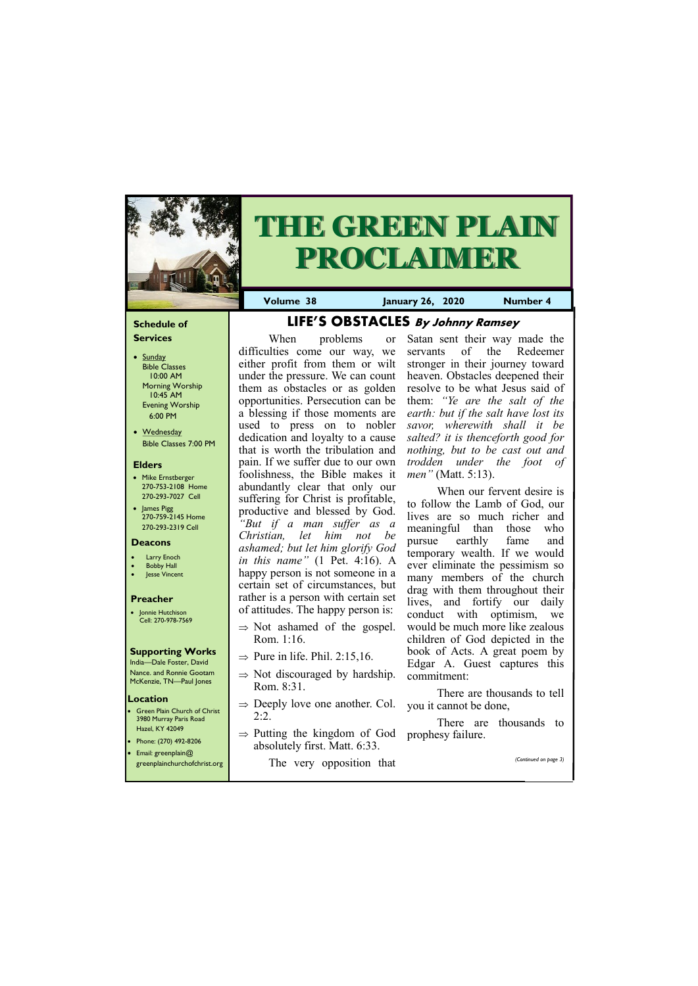#### **Schedule of Services**

- Sunday Bible Classes 10:00 AM Morning Worship 10:45 AM Evening Worship 6:00 PM
- Wednesday Bible Classes 7:00 PM

#### **Elders**

**Green Plain Church of Christ** 3980 Murray Paris Road Hazel, KY 42049 • Phone: (270) 492-8206



- Mike Ernstberger 270-753-2108 Home 270-293-7027 Cell
- James Pigg 270-759-2145 Home 270-293-2319 Cell

# **THE GREEN PLAIN PROCLAIMER**

#### **Location**

• Jonnie Hutchison Cell: 270-978-7569

• Email: greenplain@ greenplainchurchofchrist.org **Volume 38 January 26, 2020 Number 4**

#### **Deacons**

- **Larry Enoch**
- **Bobby Hall**
- **Jesse Vincent**

#### **Preacher**

### **Supporting Works**

India—Dale Foster, David Nance. and Ronnie Gootam McKenzie, TN—Paul Jones

# **LIFE'S OBSTACLES By Johnny Ramsey**

When problems or difficulties come our way, we either profit from them or wilt under the pressure. We can count them as obstacles or as golden opportunities. Persecution can be a blessing if those moments are used to press on to nobler dedication and loyalty to a cause that is worth the tribulation and pain. If we suffer due to our own foolishness, the Bible makes it abundantly clear that only our suffering for Christ is profitable, productive and blessed by God. *"But if a man suffer as a Christian, let him not be ashamed; but let him glorify God in this name"* (1 Pet. 4:16). A happy person is not someone in a certain set of circumstances, but rather is a person with certain set of attitudes. The happy person is:

- $\Rightarrow$  Not ashamed of the gospel. Rom. 1:16.
- $\Rightarrow$  Pure in life. Phil. 2:15,16.
- $\Rightarrow$  Not discouraged by hardship. Rom. 8:31.
- $\Rightarrow$  Deeply love one another. Col. 2:2.
- $\Rightarrow$  Putting the kingdom of God prophesy failure.

absolutely first. Matt. 6:33.

The very opposition that

Satan sent their way made the servants of the Redeemer stronger in their journey toward heaven. Obstacles deepened their resolve to be what Jesus said of them: *"Ye are the salt of the earth: but if the salt have lost its savor, wherewith shall it be salted? it is thenceforth good for nothing, but to be cast out and trodden under the foot of men"* (Matt. 5:13).

When our fervent desire is to follow the Lamb of God, our lives are so much richer and meaningful than those who pursue earthly fame and temporary wealth. If we would ever eliminate the pessimism so many members of the church drag with them throughout their lives, and fortify our daily conduct with optimism, we would be much more like zealous children of God depicted in the book of Acts. A great poem by Edgar A. Guest captures this commitment:

There are thousands to tell you it cannot be done,

There are thousands to

*(Continued on page 3)*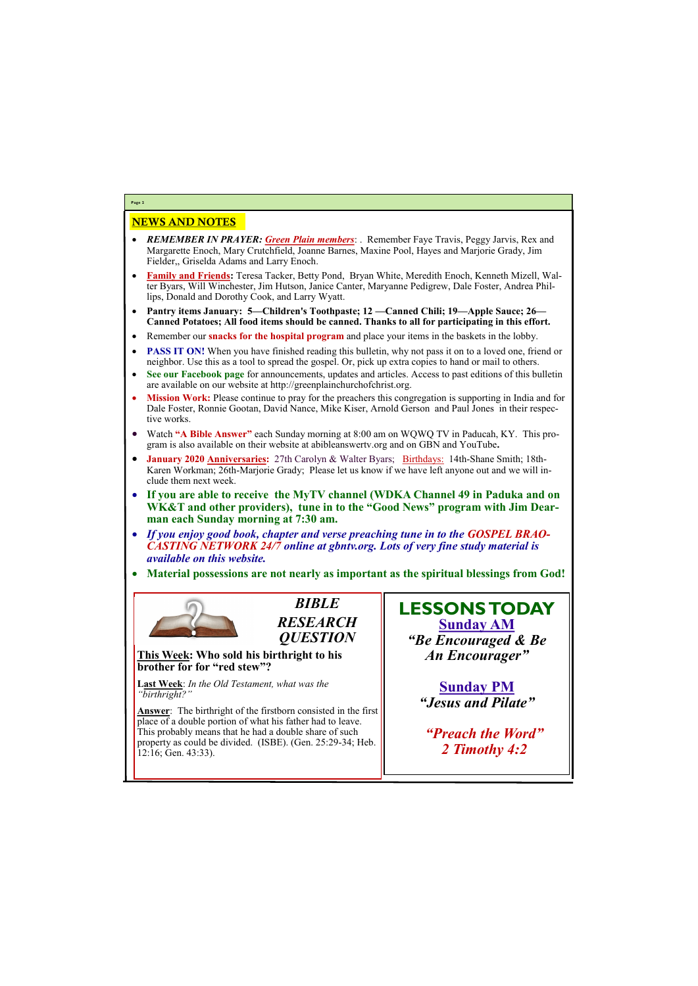## NEWS AND NOTES

- *REMEMBER IN PRAYER: Green Plain members*: . Remember Faye Travis, Peggy Jarvis, Rex and Margarette Enoch, Mary Crutchfield, Joanne Barnes, Maxine Pool, Hayes and Marjorie Grady, Jim Fielder,, Griselda Adams and Larry Enoch.
- **Family and Friends:** Teresa Tacker, Betty Pond, Bryan White, Meredith Enoch, Kenneth Mizell, Walter Byars, Will Winchester, Jim Hutson, Janice Canter, Maryanne Pedigrew, Dale Foster, Andrea Phillips, Donald and Dorothy Cook, and Larry Wyatt.
- **Pantry items January: 5—Children's Toothpaste; 12 —Canned Chili; 19—Apple Sauce; 26— Canned Potatoes; All food items should be canned. Thanks to all for participating in this effort.**
- Remember our **snacks for the hospital program** and place your items in the baskets in the lobby.
- **PASS IT ON!** When you have finished reading this bulletin, why not pass it on to a loved one, friend or neighbor. Use this as a tool to spread the gospel. Or, pick up extra copies to hand or mail to others.
- **See our Facebook page** for announcements, updates and articles. Access to past editions of this bulletin are available on our website at http://greenplainchurchofchrist.org.
- **Mission Work:** Please continue to pray for the preachers this congregation is supporting in India and for Dale Foster, Ronnie Gootan, David Nance, Mike Kiser, Arnold Gerson and Paul Jones in their respective works.
- Watch **"A Bible Answer"** each Sunday morning at 8:00 am on WQWQ TV in Paducah, KY. This program is also available on their website at abibleanswertv.org and on GBN and YouTube**.**
- **January 2020 Anniversaries:** 27th Carolyn & Walter Byars; Birthdays: 14th-Shane Smith; 18th-Karen Workman; 26th-Marjorie Grady; Please let us know if we have left anyone out and we will include them next week.
- **If you are able to receive the MyTV channel (WDKA Channel 49 in Paduka and on WK&T and other providers), tune in to the "Good News" program with Jim Dearman each Sunday morning at 7:30 am.**
- *If you enjoy good book, chapter and verse preaching tune in to the GOSPEL BRAO-CASTING NETWORK 24/7 online at gbntv.org. Lots of very fine study material is available on this website.*
- **Material possessions are not nearly as important as the spiritual blessings from God!**



**Page 2**

*BIBLE RESEARCH QUESTION*

**This Week: Who sold his birthright to his brother for for "red stew"?**

**Last Week**: *In the Old Testament, what was the "birthright?"*

**Answer**: The birthright of the firstborn consisted in the first place of a double portion of what his father had to leave. This probably means that he had a double share of such property as could be divided. (ISBE). (Gen. 25:29-34; Heb.

| property as court be arritated. (1900), (Sen. 29.29 9 1, 1100. $\mu$<br>  12:16; Gen. 43:33). |  |
|-----------------------------------------------------------------------------------------------|--|
|                                                                                               |  |
|                                                                                               |  |

**LESSONS TODAY Sunday AM** *"Be Encouraged & Be An Encourager"*

> **Sunday PM** *"Jesus and Pilate"*

*"Preach the Word"*

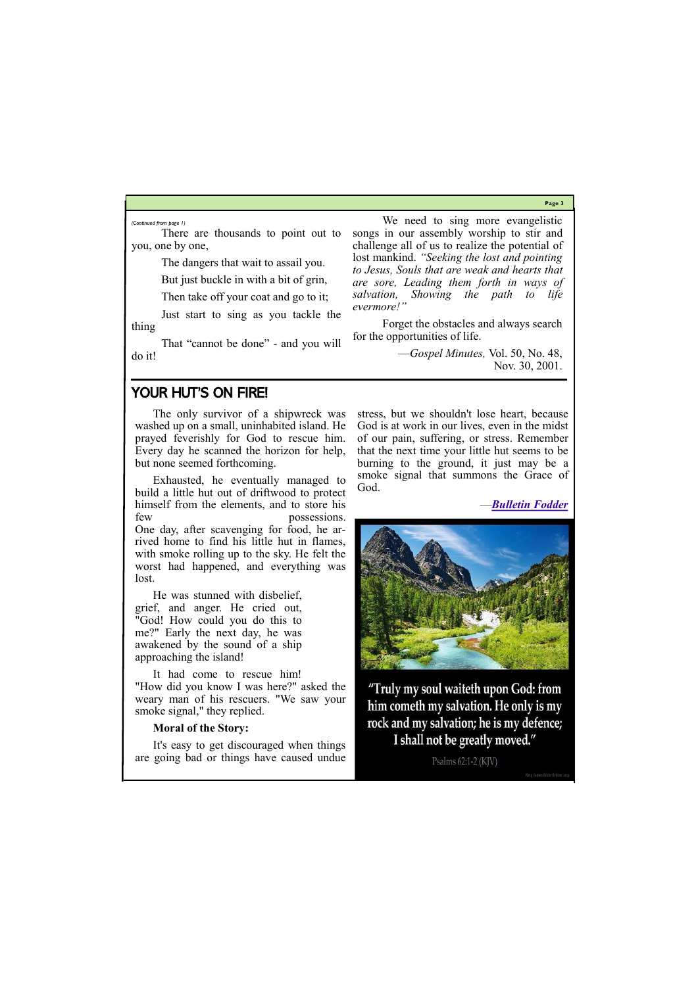**Page 3**

There are thousands to point out to you, one by one,

The dangers that wait to assail you.

But just buckle in with a bit of grin,

Then take off your coat and go to it;

Just start to sing as you tackle the thing

That "cannot be done" - and you will do it!

We need to sing more evangelistic songs in our assembly worship to stir and challenge all of us to realize the potential of lost mankind. *"Seeking the lost and pointing to Jesus, Souls that are weak and hearts that are sore, Leading them forth in ways of salvation, Showing the path to life evermore!"*

Forget the obstacles and always search for the opportunities of life.

> —*Gospel Minutes,* Vol. 50, No. 48, Nov. 30, 2001.

*(Continued from page 1)*

## YOUR HUT'S ON FIRE!

The only survivor of a shipwreck was washed up on a small, uninhabited island. He prayed feverishly for God to rescue him. Every day he scanned the horizon for help, but none seemed forthcoming.

Exhausted, he eventually managed to build a little hut out of driftwood to protect himself from the elements, and to store his few possessions. One day, after scavenging for food, he arrived home to find his little hut in flames, with smoke rolling up to the sky. He felt the worst had happened, and everything was lost.

He was stunned with disbelief, grief, and anger. He cried out, "God! How could you do this to me?" Early the next day, he was awakened by the sound of a ship approaching the island!

It had come to rescue him! "How did you know I was here?" asked the weary man of his rescuers. "We saw your smoke signal," they replied.

#### **Moral of the Story:**



stress, but we shouldn't lose heart, because God is at work in our lives, even in the midst of our pain, suffering, or stress. Remember that the next time your little hut seems to be burning to the ground, it just may be a smoke signal that summons the Grace of God.

—*[Bulletin Fodder](http://www.vscoc.org/Bulletinfdr/bulletin_fodder.htm)*



"Truly my soul waiteth upon God: from him cometh my salvation. He only is my rock and my salvation; he is my defence; I shall not be greatly moved."